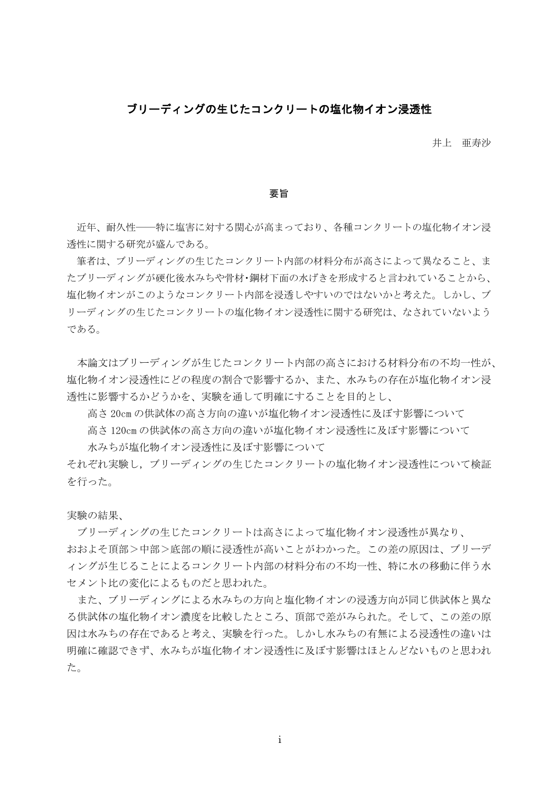## ブリーディングの生じたコンクリートの塩化物イオン浸透性

井上 亜寿沙

要旨

 近年、耐久性――特に塩害に対する関心が高まっており、各種コンクリートの塩化物イオン浸 透性に関する研究が盛んである。

 筆者は、ブリーディングの生じたコンクリート内部の材料分布が高さによって異なること、ま たブリーディングが硬化後水みちや骨材・鋼材下面の水げきを形成すると言われていることから、 塩化物イオンがこのようなコンクリート内部を浸透しやすいのではないかと考えた。しかし、ブ リーディングの生じたコンクリートの塩化物イオン浸透性に関する研究は、なされていないよう である。

 本論文はブリーディングが生じたコンクリート内部の高さにおける材料分布の不均一性が、 塩化物イオン浸透性にどの程度の割合で影響するか、また、水みちの存在が塩化物イオン浸 透性に影響するかどうかを、実験を通して明確にすることを目的とし、

高さ 20cm の供試体の高さ方向の違いが塩化物イオン浸透性に及ぼす影響について

高さ 120cm の供試体の高さ方向の違いが塩化物イオン浸透性に及ぼす影響について

水みちが塩化物イオン浸透性に及ぼす影響について

それぞれ実験し,ブリーディングの生じたコンクリートの塩化物イオン浸透性について検証 を行った。

実験の結果、

 ブリーディングの生じたコンクリートは高さによって塩化物イオン浸透性が異なり、 おおよそ頂部>中部>底部の順に浸透性が高いことがわかった。この差の原因は、ブリーデ ィングが生じることによるコンクリート内部の材料分布の不均一性、特に水の移動に伴う水 セメント比の変化によるものだと思われた。

 また、ブリーディングによる水みちの方向と塩化物イオンの浸透方向が同じ供試体と異な る供試体の塩化物イオン濃度を比較したところ、頂部で差がみられた。そして、この差の原 因は水みちの存在であると考え、実験を行った。しかし水みちの有無による浸透性の違いは 明確に確認できず、水みちが塩化物イオン浸透性に及ぼす影響はほとんどないものと思われ た。